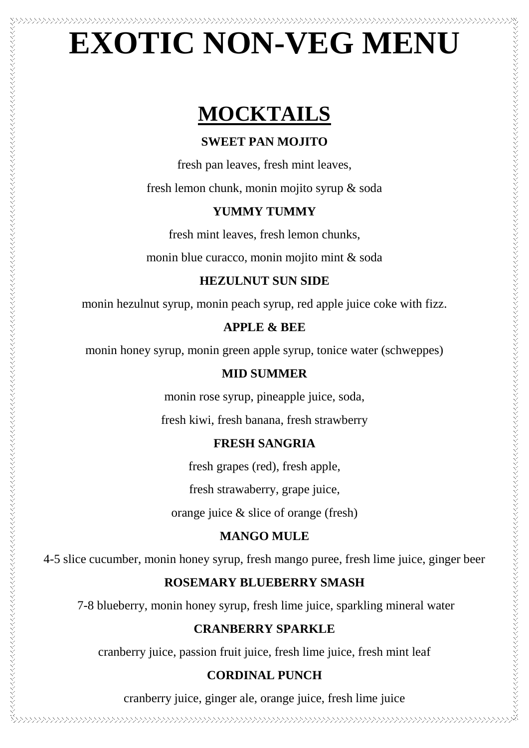# **EXOTIC NON-VEG MENU**

## **MOCKTAILS**

#### **SWEET PAN MOJITO**

fresh pan leaves, fresh mint leaves,

fresh lemon chunk, monin mojito syrup & soda

#### **YUMMY TUMMY**

fresh mint leaves, fresh lemon chunks,

monin blue curacco, monin mojito mint & soda

#### **HEZULNUT SUN SIDE**

monin hezulnut syrup, monin peach syrup, red apple juice coke with fizz.

#### **APPLE & BEE**

monin honey syrup, monin green apple syrup, tonice water (schweppes)

#### **MID SUMMER**

N NAN MANAN KANAN KANAN KANAN KANAN KANAN KANAN KANAN KANAN KANAN KANAN KANAN KANAN KANAN KANAN KANAN KANAN KA

monin rose syrup, pineapple juice, soda,

fresh kiwi, fresh banana, fresh strawberry

#### **FRESH SANGRIA**

fresh grapes (red), fresh apple,

fresh strawaberry, grape juice,

orange juice & slice of orange (fresh)

#### **MANGO MULE**

4-5 slice cucumber, monin honey syrup, fresh mango puree, fresh lime juice, ginger beer

#### **ROSEMARY BLUEBERRY SMASH**

7-8 blueberry, monin honey syrup, fresh lime juice, sparkling mineral water

#### **CRANBERRY SPARKLE**

cranberry juice, passion fruit juice, fresh lime juice, fresh mint leaf

#### **CORDINAL PUNCH**

cranberry juice, ginger ale, orange juice, fresh lime juice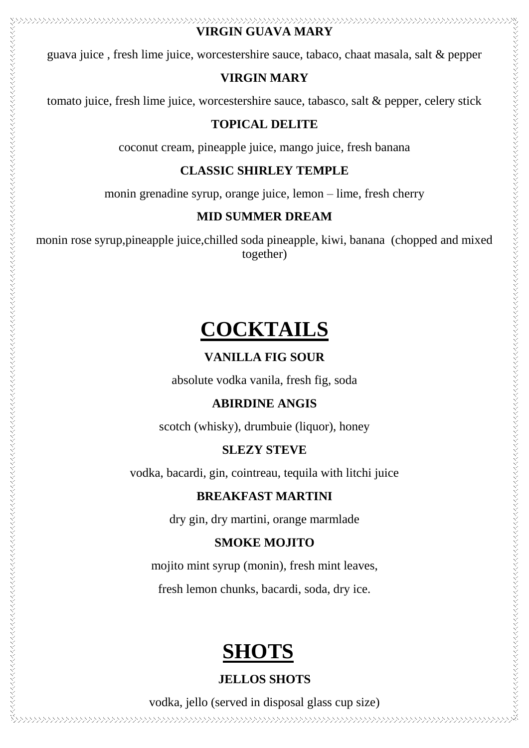#### **VIRGIN GUAVA MARY**

guava juice , fresh lime juice, worcestershire sauce, tabaco, chaat masala, salt & pepper

#### **VIRGIN MARY**

tomato juice, fresh lime juice, worcestershire sauce, tabasco, salt & pepper, celery stick

#### **TOPICAL DELITE**

coconut cream, pineapple juice, mango juice, fresh banana

#### **CLASSIC SHIRLEY TEMPLE**

monin grenadine syrup, orange juice, lemon – lime, fresh cherry

#### **MID SUMMER DREAM**

monin rose syrup,pineapple juice,chilled soda pineapple, kiwi, banana (chopped and mixed together)

## **COCKTAILS**

#### **VANILLA FIG SOUR**

absolute vodka vanila, fresh fig, soda

#### **ABIRDINE ANGIS**

scotch (whisky), drumbuie (liquor), honey

#### **SLEZY STEVE**

vodka, bacardi, gin, cointreau, tequila with litchi juice

#### **BREAKFAST MARTINI**

dry gin, dry martini, orange marmlade

#### **SMOKE MOJITO**

mojito mint syrup (monin), fresh mint leaves,

fresh lemon chunks, bacardi, soda, dry ice.

## **SHOTS**

#### **JELLOS SHOTS**

vodka, jello (served in disposal glass cup size)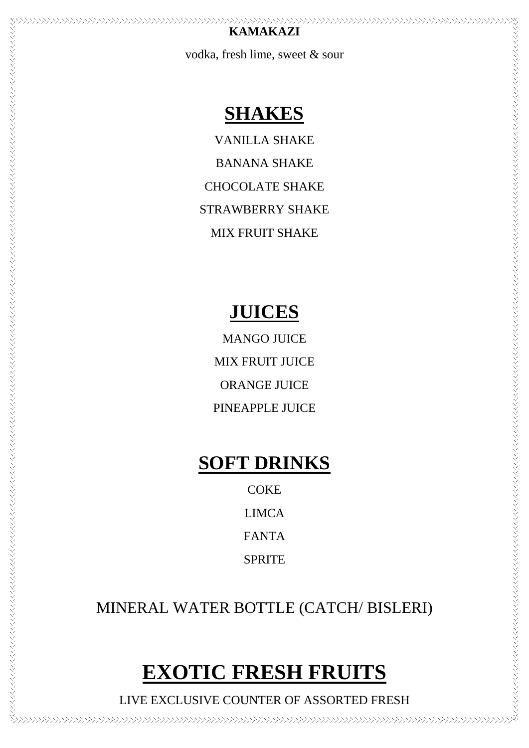#### **KAMAKAZI**

 $\mu$  and the complete than the complete than the complete than the complete than the complete than the complete than the complete than the complete than the complete than the complete than the complete than the complete t

vodka, fresh lime, sweet & sour

### **SHAKES**

VANILLA SHAKE BANANA SHAKE CHOCOLATE SHAKE STRAWBERRY SHAKE MIX FRUIT SHAKE

### **JUICES**

MANGO JUICE MIX FRUIT JUICE ORANGE JUICE PINEAPPLE JUICE

### **SOFT DRINKS**

**COKE** LIMCA FANTA SPRITE

#### MINERAL WATER BOTTLE (CATCH/ BISLERI)

### **EXOTIC FRESH FRUITS**

LIVE EXCLUSIVE COUNTER OF ASSORTED FRESH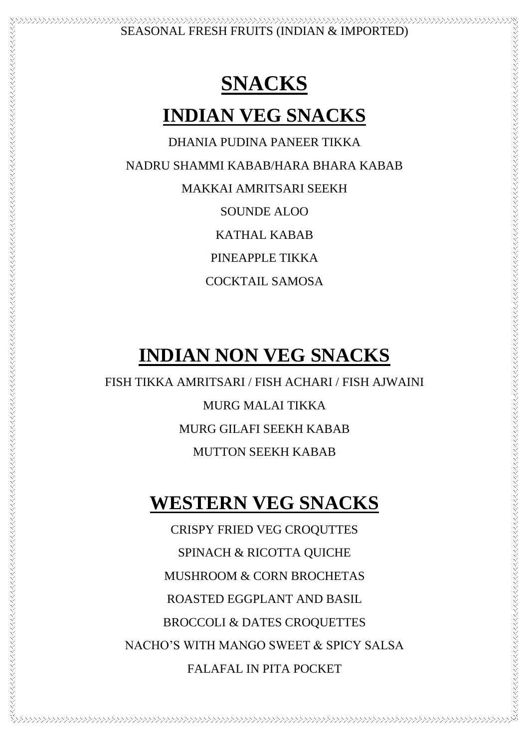## **SNACKS**

### **INDIAN VEG SNACKS**

DHANIA PUDINA PANEER TIKKA NADRU SHAMMI KABAB/HARA BHARA KABAB MAKKAI AMRITSARI SEEKH SOUNDE ALOO KATHAL KABAB PINEAPPLE TIKKA COCKTAIL SAMOSA

## **INDIAN NON VEG SNACKS**

FISH TIKKA AMRITSARI / FISH ACHARI / FISH AJWAINI MURG MALAI TIKKA MURG GILAFI SEEKH KABAB MUTTON SEEKH KABAB

## **WESTERN VEG SNACKS**

CRISPY FRIED VEG CROQUTTES SPINACH & RICOTTA QUICHE MUSHROOM & CORN BROCHETAS ROASTED EGGPLANT AND BASIL BROCCOLI & DATES CROQUETTES NACHO'S WITH MANGO SWEET & SPICY SALSA FALAFAL IN PITA POCKET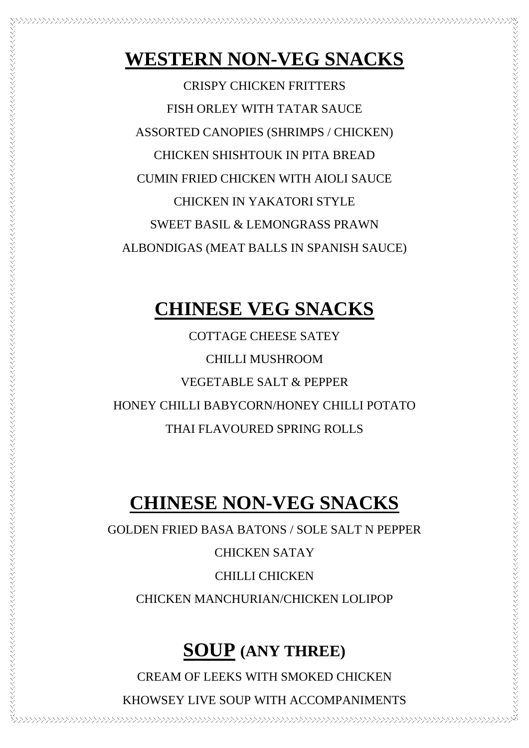### **WESTERN NON-VEG SNACKS**

CRISPY CHICKEN FRITTERS FISH ORLEY WITH TATAR SAUCE ASSORTED CANOPIES (SHRIMPS / CHICKEN) CHICKEN SHISHTOUK IN PITA BREAD CUMIN FRIED CHICKEN WITH AIOLI SAUCE CHICKEN IN YAKATORI STYLE SWEET BASIL & LEMONGRASS PRAWN ALBONDIGAS (MEAT BALLS IN SPANISH SAUCE)

### **CHINESE VEG SNACKS**

COTTAGE CHEESE SATEY CHILLI MUSHROOM VEGETABLE SALT & PEPPER HONEY CHILLI BABYCORN/HONEY CHILLI POTATO THAI FLAVOURED SPRING ROLLS

### **CHINESE NON-VEG SNACKS**

GOLDEN FRIED BASA BATONS / SOLE SALT N PEPPER

#### CHICKEN SATAY

#### CHILLI CHICKEN

CHICKEN MANCHURIAN/CHICKEN LOLIPOP

### **SOUP (ANY THREE)**

CREAM OF LEEKS WITH SMOKED CHICKEN

KHOWSEY LIVE SOUP WITH ACCOMPANIMENTS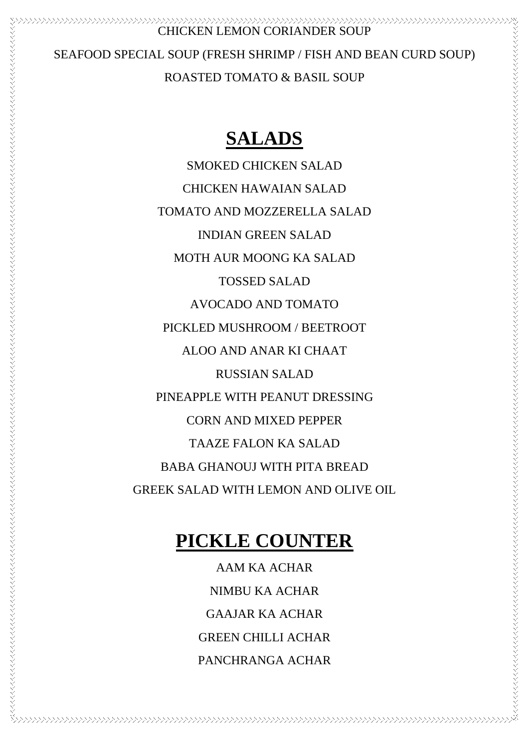### CHICKEN LEMON CORIANDER SOUP SEAFOOD SPECIAL SOUP (FRESH SHRIMP / FISH AND BEAN CURD SOUP) ROASTED TOMATO & BASIL SOUP

\*\*\*\*\*\*\*\*\*\*\*\*\*\*\*\*\*\*\*\*\*\*\*\*\*\*

### **SALADS**

SMOKED CHICKEN SALAD CHICKEN HAWAIAN SALAD TOMATO AND MOZZERELLA SALAD INDIAN GREEN SALAD MOTH AUR MOONG KA SALAD TOSSED SALAD AVOCADO AND TOMATO PICKLED MUSHROOM / BEETROOT ALOO AND ANAR KI CHAAT RUSSIAN SALAD PINEAPPLE WITH PEANUT DRESSING CORN AND MIXED PEPPER TAAZE FALON KA SALAD BABA GHANOUJ WITH PITA BREAD GREEK SALAD WITH LEMON AND OLIVE OIL

#### **PICKLE COUNTER**

AAM KA ACHAR NIMBU KA ACHAR GAAJAR KA ACHAR GREEN CHILLI ACHAR PANCHRANGA ACHAR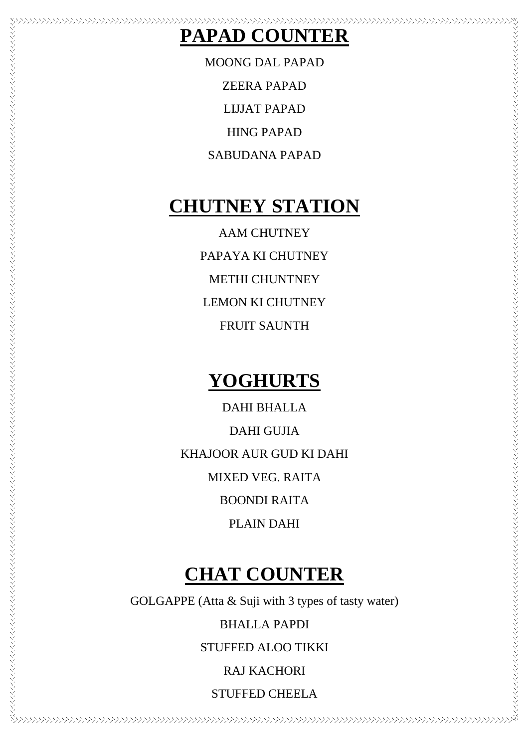#### **PAPAD COUNTER**

MOONG DAL PAPAD ZEERA PAPAD LIJJAT PAPAD HING PAPAD SABUDANA PAPAD

### **CHUTNEY STATION**

AAM CHUTNEY PAPAYA KI CHUTNEY METHI CHUNTNEY LEMON KI CHUTNEY FRUIT SAUNTH

#### **YOGHURTS**

DAHI BHALLA DAHI GUJIA KHAJOOR AUR GUD KI DAHI MIXED VEG. RAITA BOONDI RAITA PLAIN DAHI

### **CHAT COUNTER**

GOLGAPPE (Atta & Suji with 3 types of tasty water)

BHALLA PAPDI

STUFFED ALOO TIKKI

RAJ KACHORI

STUFFED CHEELA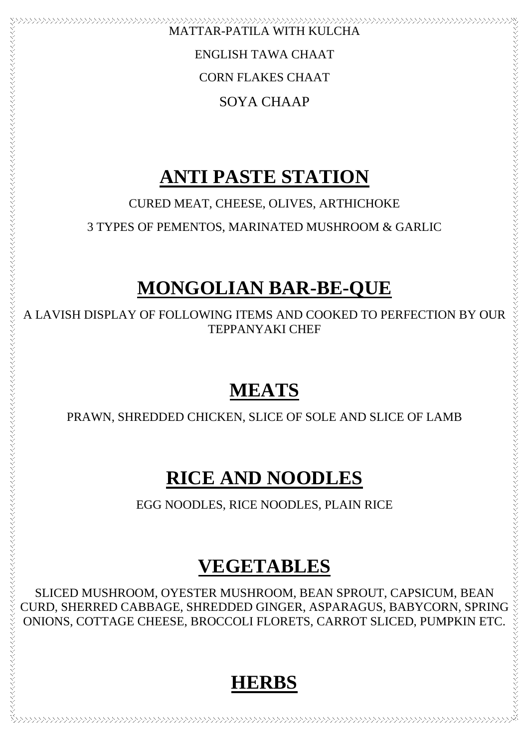MATTAR-PATILA WITH KULCHA ENGLISH TAWA CHAAT CORN FLAKES CHAAT SOYA CHAAP

### **ANTI PASTE STATION**

CURED MEAT, CHEESE, OLIVES, ARTHICHOKE

3 TYPES OF PEMENTOS, MARINATED MUSHROOM & GARLIC

### **MONGOLIAN BAR-BE-QUE**

A LAVISH DISPLAY OF FOLLOWING ITEMS AND COOKED TO PERFECTION BY OUR TEPPANYAKI CHEF

### **MEATS**

PRAWN, SHREDDED CHICKEN, SLICE OF SOLE AND SLICE OF LAMB

## **RICE AND NOODLES**

EGG NOODLES, RICE NOODLES, PLAIN RICE

## **VEGETABLES**

SLICED MUSHROOM, OYESTER MUSHROOM, BEAN SPROUT, CAPSICUM, BEAN CURD, SHERRED CABBAGE, SHREDDED GINGER, ASPARAGUS, BABYCORN, SPRING ONIONS, COTTAGE CHEESE, BROCCOLI FLORETS, CARROT SLICED, PUMPKIN ETC.

### **HERBS**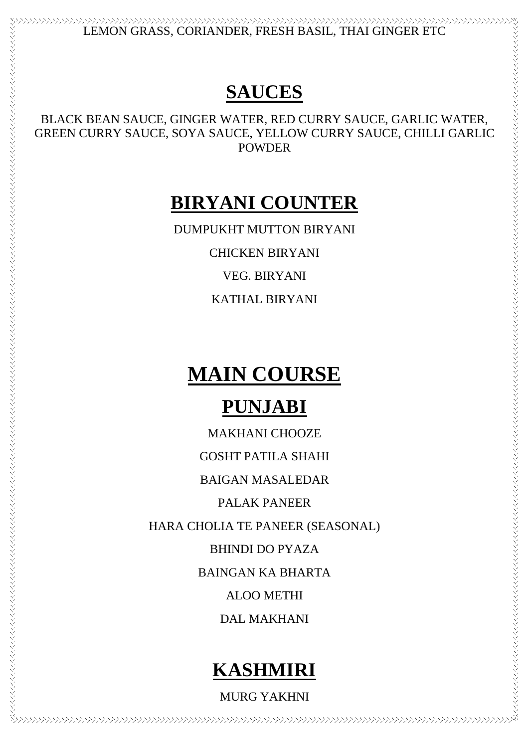LEMON GRASS, CORIANDER, FRESH BASIL, THAI GINGER ETC

### **SAUCES**

BLACK BEAN SAUCE, GINGER WATER, RED CURRY SAUCE, GARLIC WATER, GREEN CURRY SAUCE, SOYA SAUCE, YELLOW CURRY SAUCE, CHILLI GARLIC POWDER

### **BIRYANI COUNTER**

DUMPUKHT MUTTON BIRYANI

CHICKEN BIRYANI

VEG. BIRYANI

KATHAL BIRYANI

## **MAIN COURSE**

### **PUNJABI**

MAKHANI CHOOZE

GOSHT PATILA SHAHI

BAIGAN MASALEDAR

PALAK PANEER

HARA CHOLIA TE PANEER (SEASONAL)

BHINDI DO PYAZA

BAINGAN KA BHARTA

ALOO METHI

DAL MAKHANI

## **KASHMIRI**

MURG YAKHNI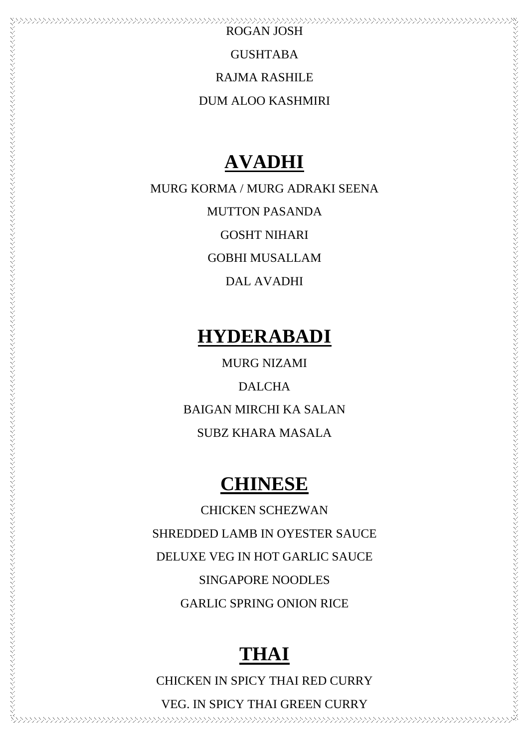ROGAN JOSH

GUSHTABA

RAJMA RASHILE

DUM ALOO KASHMIRI

### **AVADHI**

MURG KORMA / MURG ADRAKI SEENA

MUTTON PASANDA

GOSHT NIHARI

GOBHI MUSALLAM

DAL AVADHI

### **HYDERABADI**

MURG NIZAMI

DALCHA BAIGAN MIRCHI KA SALAN SUBZ KHARA MASALA

#### **CHINESE**

CHICKEN SCHEZWAN SHREDDED LAMB IN OYESTER SAUCE DELUXE VEG IN HOT GARLIC SAUCE SINGAPORE NOODLES GARLIC SPRING ONION RICE

#### **THAI**

CHICKEN IN SPICY THAI RED CURRY

VEG. IN SPICY THAI GREEN CURRY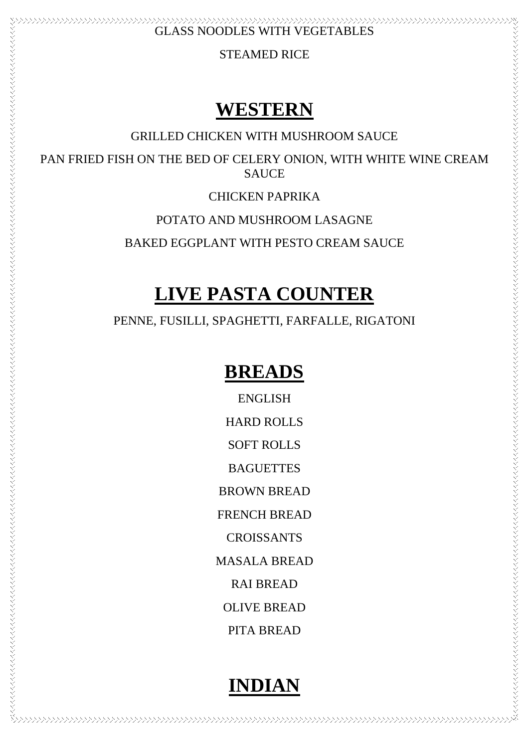STEAMED RICE

### **WESTERN**

#### GRILLED CHICKEN WITH MUSHROOM SAUCE

PAN FRIED FISH ON THE BED OF CELERY ONION, WITH WHITE WINE CREAM SAUCE

CHICKEN PAPRIKA

POTATO AND MUSHROOM LASAGNE

BAKED EGGPLANT WITH PESTO CREAM SAUCE

## **LIVE PASTA COUNTER**

PENNE, FUSILLI, SPAGHETTI, FARFALLE, RIGATONI

### **BREADS**

ENGLISH HARD ROLLS SOFT ROLLS **BAGUETTES** BROWN BREAD FRENCH BREAD CROISSANTS MASALA BREAD RAI BREAD OLIVE BREAD PITA BREAD

## **INDIAN**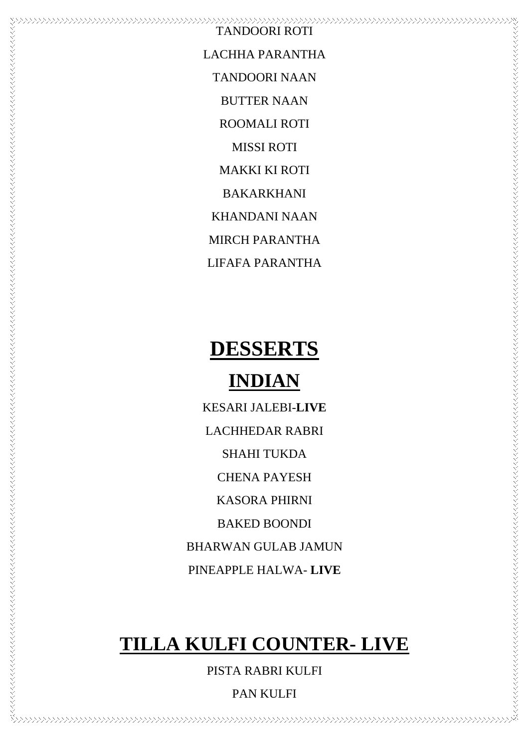TANDOORI ROTI LACHHA PARANTHA TANDOORI NAAN BUTTER NAAN ROOMALI ROTI MISSI ROTI MAKKI KI ROTI BAKARKHANI KHANDANI NAAN MIRCH PARANTHA LIFAFA PARANTHA

www.com/www.com/www.com/www.com/www.com/www.com/www.com/www.com/www.com/www.com/

## **DESSERTS**

### **INDIAN**

 $\mu$ 

KESARI JALEBI-**LIVE** LACHHEDAR RABRI SHAHI TUKDA CHENA PAYESH KASORA PHIRNI BAKED BOONDI BHARWAN GULAB JAMUN PINEAPPLE HALWA- **LIVE**

### **TILLA KULFI COUNTER- LIVE**

PISTA RABRI KULFI

PAN KULFI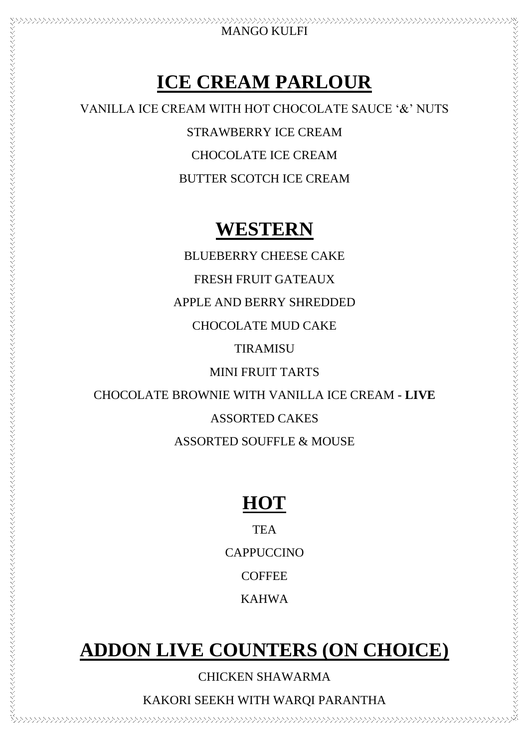## **ICE CREAM PARLOUR**

MANGO KULFI

VANILLA ICE CREAM WITH HOT CHOCOLATE SAUCE '&' NUTS STRAWBERRY ICE CREAM CHOCOLATE ICE CREAM BUTTER SCOTCH ICE CREAM

#### **WESTERN**

BLUEBERRY CHEESE CAKE FRESH FRUIT GATEAUX APPLE AND BERRY SHREDDED CHOCOLATE MUD CAKE TIRAMISU MINI FRUIT TARTS CHOCOLATE BROWNIE WITH VANILLA ICE CREAM - **LIVE** ASSORTED CAKES ASSORTED SOUFFLE & MOUSE

## **HOT**

**TEA CAPPUCCINO COFFEE** KAHWA

### **ADDON LIVE COUNTERS (ON CHOICE)**

CHICKEN SHAWARMA

KAKORI SEEKH WITH WARQI PARANTHA